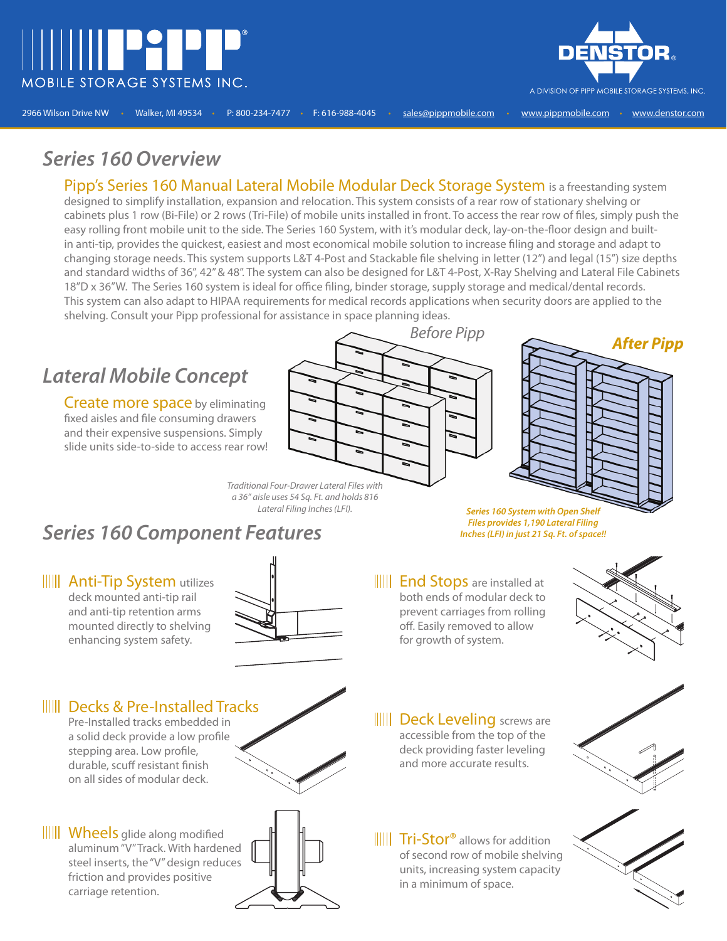



2966 Wilson Drive NW • Walker, MI 49534 • P: 800-234-7477 • F: 616-988-4045 • sales@pippmobile.com • www.pippmobile.com • www.denstor.com

#### *Series 160 Overview*

Pipp's Series 160 Manual Lateral Mobile Modular Deck Storage System is a freestanding system designed to simplify installation, expansion and relocation. This system consists of a rear row of stationary shelving or cabinets plus 1 row (Bi-File) or 2 rows (Tri-File) of mobile units installed in front. To access the rear row of files, simply push the easy rolling front mobile unit to the side. The Series 160 System, with it's modular deck, lay-on-the-floor design and builtin anti-tip, provides the quickest, easiest and most economical mobile solution to increase filing and storage and adapt to changing storage needs. This system supports L&T 4-Post and Stackable file shelving in letter (12") and legal (15") size depths and standard widths of 36", 42" & 48". The system can also be designed for L&T 4-Post, X-Ray Shelving and Lateral File Cabinets 18"D x 36"W. The Series 160 system is ideal for office filing, binder storage, supply storage and medical/dental records. This system can also adapt to HIPAA requirements for medical records applications when security doors are applied to the shelving. Consult your Pipp professional for assistance in space planning ideas.

## *Lateral Mobile Concept*

Create more space by eliminating fixed aisles and file consuming drawers and their expensive suspensions. Simply slide units side-to-side to access rear row!





Traditional Four-Drawer Lateral Files with a 36" aisle uses 54 Sq. Ft. and holds 816

### *Series 160 Component Features*

Lateral Filing Inches (LFI). *Series 160 System with Open Shelf Files provides 1,190 Lateral Filing Inches (LFI) in just 21 Sq. Ft. of space!!*

**IIII Anti-Tip System utilizes** deck mounted anti-tip rail and anti-tip retention arms mounted directly to shelving enhancing system safety.



**IIII** End Stops are installed at both ends of modular deck to prevent carriages from rolling off. Easily removed to allow for growth of system.



**IIIII** Decks & Pre-Installed Tracks

Pre-Installed tracks embedded in a solid deck provide a low profile stepping area. Low profile, durable, scuff resistant finish on all sides of modular deck.

|||||| Wheels glide along modified aluminum "V" Track. With hardened steel inserts, the "V" design reduces friction and provides positive carriage retention.





**IIIII** Deck Leveling screws are accessible from the top of the deck providing faster leveling and more accurate results.

**IIIII** Tri-Stor<sup>®</sup> allows for addition of second row of mobile shelving units, increasing system capacity in a minimum of space.